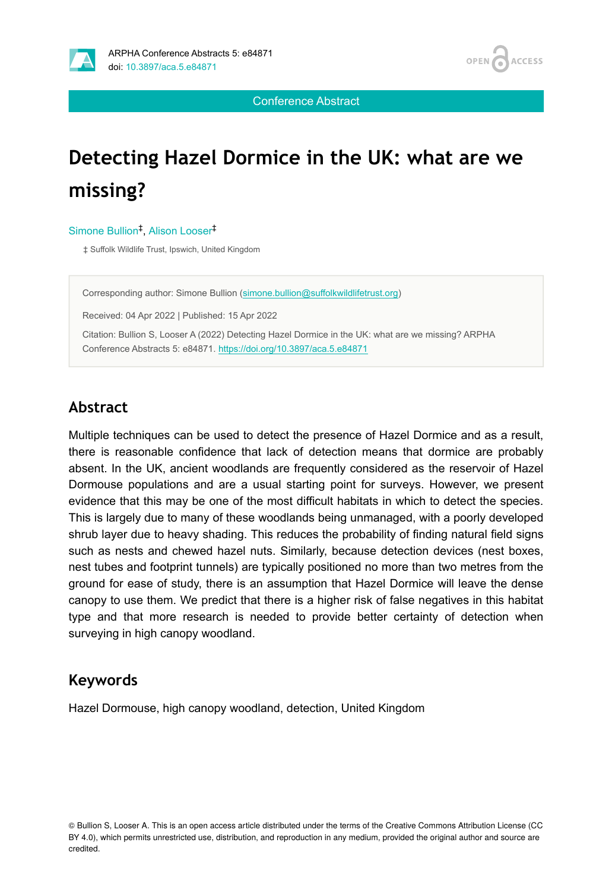



Conference Abstract

# **Detecting Hazel Dormice in the UK: what are we missing?**

Simone Bullion<sup>‡</sup>, Alison Looser<sup>‡</sup>

‡ Suffolk Wildlife Trust, Ipswich, United Kingdom

Corresponding author: Simone Bullion ([simone.bullion@suffolkwildlifetrust.org](mailto:simone.bullion@suffolkwildlifetrust.org))

Received: 04 Apr 2022 | Published: 15 Apr 2022

Citation: Bullion S, Looser A (2022) Detecting Hazel Dormice in the UK: what are we missing? ARPHA Conference Abstracts 5: e84871. <https://doi.org/10.3897/aca.5.e84871>

### **Abstract**

Multiple techniques can be used to detect the presence of Hazel Dormice and as a result, there is reasonable confidence that lack of detection means that dormice are probably absent. In the UK, ancient woodlands are frequently considered as the reservoir of Hazel Dormouse populations and are a usual starting point for surveys. However, we present evidence that this may be one of the most difficult habitats in which to detect the species. This is largely due to many of these woodlands being unmanaged, with a poorly developed shrub layer due to heavy shading. This reduces the probability of finding natural field signs such as nests and chewed hazel nuts. Similarly, because detection devices (nest boxes, nest tubes and footprint tunnels) are typically positioned no more than two metres from the ground for ease of study, there is an assumption that Hazel Dormice will leave the dense canopy to use them. We predict that there is a higher risk of false negatives in this habitat type and that more research is needed to provide better certainty of detection when surveying in high canopy woodland.

#### **Keywords**

Hazel Dormouse, high canopy woodland, detection, United Kingdom